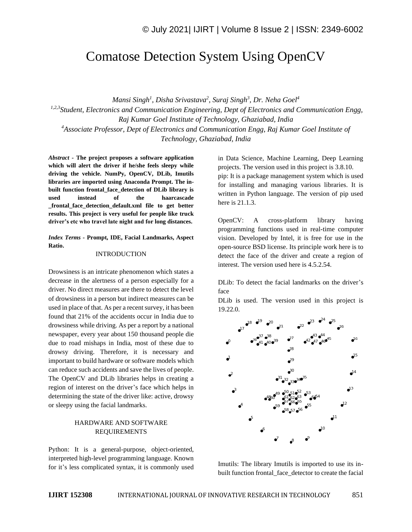# Comatose Detection System Using OpenCV

*Mansi Singh<sup>1</sup> , Disha Srivastava<sup>2</sup> , Suraj Singh<sup>3</sup> , Dr. Neha Goel<sup>4</sup> 1,2,3Student, Electronics and Communication Engineering, Dept of Electronics and Communication Engg, Raj Kumar Goel Institute of Technology, Ghaziabad, India <sup>4</sup>Associate Professor, Dept of Electronics and Communication Engg, Raj Kumar Goel Institute of Technology, Ghaziabad, India*

*Abstract -* **The project proposes a software application which will alert the driver if he/she feels sleepy while driving the vehicle. NumPy, OpenCV, DLib, Imutils libraries are imported using Anaconda Prompt. The inbuilt function frontal\_face\_detection of DLib library is used instead of the haarcascade \_frontal\_face\_detection\_default.xml file to get better results. This project is very useful for people like truck driver's etc who travel late night and for long distances.** 

*Index Terms -* **Prompt, IDE, Facial Landmarks, Aspect Ratio.**

#### INTRODUCTION

Drowsiness is an intricate phenomenon which states a decrease in the alertness of a person especially for a driver. No direct measures are there to detect the level of drowsiness in a person but indirect measures can be used in place of that. As per a recent survey, it has been found that 21% of the accidents occur in India due to drowsiness while driving. As per a report by a national newspaper, every year about 150 thousand people die due to road mishaps in India, most of these due to drowsy driving. Therefore, it is necessary and important to build hardware or software models which can reduce such accidents and save the lives of people. The OpenCV and DLib libraries helps in creating a region of interest on the driver's face which helps in determining the state of the driver like: active, drowsy or sleepy using the facial landmarks.

### HARDWARE AND SOFTWARE REQUIREMENTS

Python: It is a general-purpose, object-oriented, interpreted high-level programming language. Known for it's less complicated syntax, it is commonly used in Data Science, Machine Learning, Deep Learning projects. The version used in this project is 3.8.10. pip: It is a package management system which is used for installing and managing various libraries. It is written in Python language. The version of pip used here is 21.1.3.

OpenCV: A cross-platform library having programming functions used in real-time computer vision. Developed by Intel, it is free for use in the open-source BSD license. Its principle work here is to detect the face of the driver and create a region of interest. The version used here is 4.5.2.54.

DLib: To detect the facial landmarks on the driver's face

DLib is used. The version used in this project is 19.22.0.



Imutils: The library Imutils is imported to use its inbuilt function frontal\_face\_detector to create the facial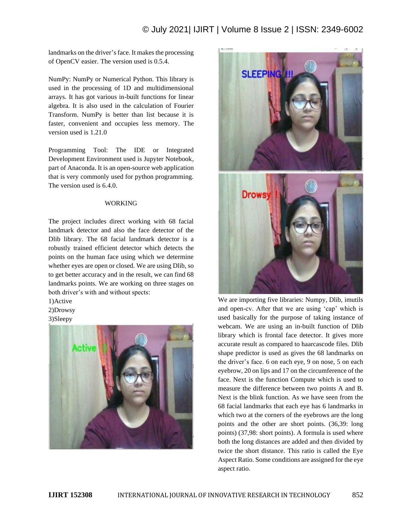## © July 2021| IJIRT | Volume 8 Issue 2 | ISSN: 2349-6002

landmarks on the driver's face. It makes the processing of OpenCV easier. The version used is 0.5.4.

NumPy: NumPy or Numerical Python. This library is used in the processing of 1D and multidimensional arrays. It has got various in-built functions for linear algebra. It is also used in the calculation of Fourier Transform. NumPy is better than list because it is faster, convenient and occupies less memory. The version used is 1.21.0

Programming Tool: The IDE or Integrated Development Environment used is Jupyter Notebook, part of Anaconda. It is an open-source web application that is very commonly used for python programming. The version used is 6.4.0.

#### WORKING

The project includes direct working with 68 facial landmark detector and also the face detector of the Dlib library. The 68 facial landmark detector is a robustly trained efficient detector which detects the points on the human face using which we determine whether eyes are open or closed. We are using Dlib, so to get better accuracy and in the result, we can find 68 landmarks points. We are working on three stages on both driver's with and without spects:

1)Active 2)Drowsy

3)Sleepy





We are importing five libraries: Numpy, Dlib, imutils and open-cv. After that we are using 'cap' which is used basically for the purpose of taking instance of webcam. We are using an in-built function of Dlib library which is frontal face detector. It gives more accurate result as compared to haarcascode files. Dlib shape predictor is used as gives the 68 landmarks on the driver's face. 6 on each eye, 9 on nose, 5 on each eyebrow, 20 on lips and 17 on the circumference of the face. Next is the function Compute which is used to measure the difference between two points A and B. Next is the blink function. As we have seen from the 68 facial landmarks that each eye has 6 landmarks in which two at the corners of the eyebrows are the long points and the other are short points. (36,39: long points) (37,98: short points). A formula is used where both the long distances are added and then divided by twice the short distance. This ratio is called the Eye Aspect Ratio. Some conditions are assigned for the eye aspect ratio.